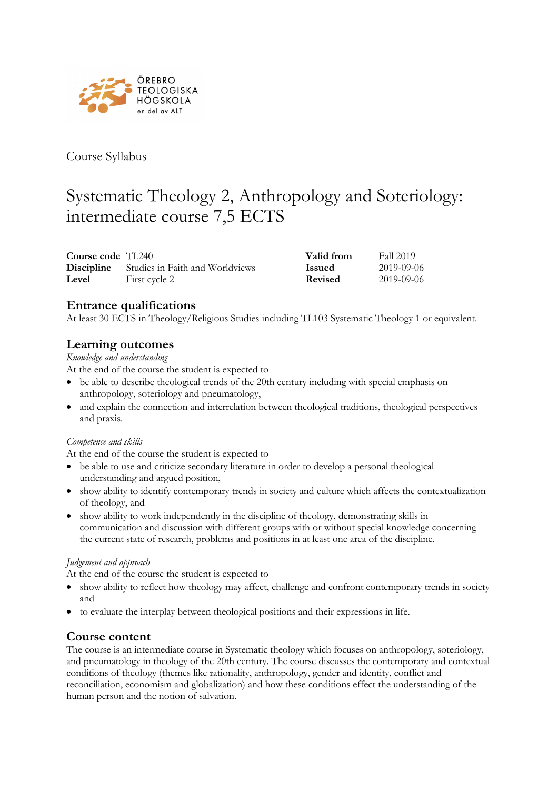

Course Syllabus

# Systematic Theology 2, Anthropology and Soteriology: intermediate course 7,5 ECTS

| Course code $TL240$ |                                                   | Valid from     | <b>Fall 2019</b> |
|---------------------|---------------------------------------------------|----------------|------------------|
|                     | <b>Discipline</b> Studies in Faith and Worldviews | <b>Issued</b>  | 2019-09-06       |
| Level               | First cycle 2                                     | <b>Revised</b> | 2019-09-06       |

# **Entrance qualifications**

At least 30 ECTS in Theology/Religious Studies including TL103 Systematic Theology 1 or equivalent.

# **Learning outcomes**

*Knowledge and understanding*

At the end of the course the student is expected to

- be able to describe theological trends of the 20th century including with special emphasis on anthropology, soteriology and pneumatology,
- and explain the connection and interrelation between theological traditions, theological perspectives and praxis.

#### *Competence and skills*

At the end of the course the student is expected to

- be able to use and criticize secondary literature in order to develop a personal theological understanding and argued position,
- show ability to identify contemporary trends in society and culture which affects the contextualization of theology, and
- show ability to work independently in the discipline of theology, demonstrating skills in communication and discussion with different groups with or without special knowledge concerning the current state of research, problems and positions in at least one area of the discipline.

#### *Judgement and approach*

At the end of the course the student is expected to

- show ability to reflect how theology may affect, challenge and confront contemporary trends in society and
- to evaluate the interplay between theological positions and their expressions in life.

## **Course content**

The course is an intermediate course in Systematic theology which focuses on anthropology, soteriology, and pneumatology in theology of the 20th century. The course discusses the contemporary and contextual conditions of theology (themes like rationality, anthropology, gender and identity, conflict and reconciliation, economism and globalization) and how these conditions effect the understanding of the human person and the notion of salvation.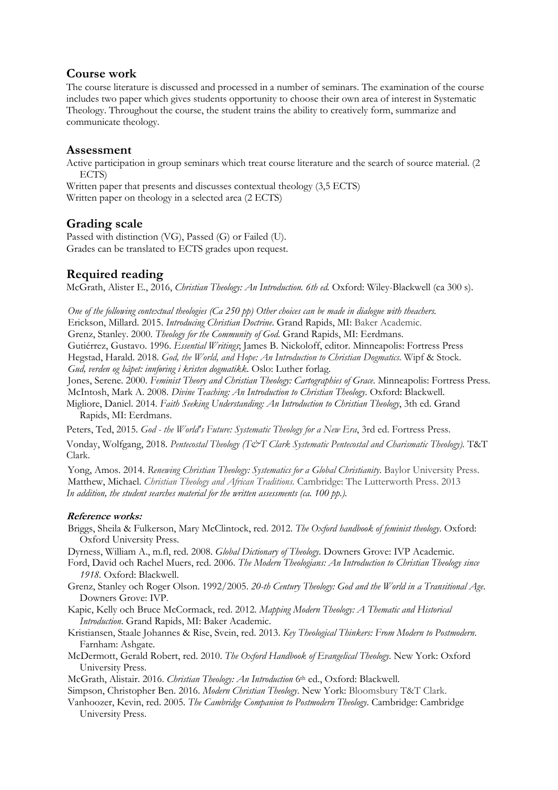## **Course work**

The course literature is discussed and processed in a number of seminars. The examination of the course includes two paper which gives students opportunity to choose their own area of interest in Systematic Theology. Throughout the course, the student trains the ability to creatively form, summarize and communicate theology.

### **Assessment**

Active participation in group seminars which treat course literature and the search of source material. (2 ECTS)

Written paper that presents and discusses contextual theology (3,5 ECTS) Written paper on theology in a selected area (2 ECTS)

# **Grading scale**

Passed with distinction (VG), Passed (G) or Failed (U). Grades can be translated to ECTS grades upon request.

# **Required reading**

McGrath, Alister E., 2016, *Christian Theology: An Introduction. 6th ed.* Oxford: Wiley-Blackwell (ca 300 s).

One of the following contextual theologies (Ca 250 pp) Other choices can be made in dialogue with theachers. Erickson, Millard. 2015. *Introducing Christian Doctrine*. Grand Rapids, MI: Baker Academic. Grenz, Stanley. 2000. *Theology for the Community of God*. Grand Rapids, MI: Eerdmans. Gutiérrez, Gustavo. 1996. *Essential Writings*; James B. Nickoloff, editor. Minneapolis: Fortress Press Hegstad, Harald. 2018. *God, the World, and Hope: An Introduction to Christian Dogmatics*. Wipf & Stock. *Gud, verden og håpet: innføring i kristen dogmatikk*. Oslo: Luther forlag.

Jones, Serene. 2000. *Feminist Theory and Christian Theology: Cartographies of Grace*. Minneapolis: Fortress Press. McIntosh, Mark A. 2008. *Divine Teaching: An Introduction to Christian Theology*. Oxford: Blackwell.

Migliore, Daniel. 2014. *Faith Seeking Understanding: An Introduction to Christian Theology*, 3th ed. Grand Rapids, MI: Eerdmans.

Peters, Ted, 2015. *God - the World's Future: Systematic Theology for a New Era*, 3rd ed. Fortress Press.

Vonday, Wolfgang, 2018. *Pentecostal Theology (T&T Clark Systematic Pentecostal and Charismatic Theology).* T&T Clark.

Yong, Amos. 2014. *Renewing Christian Theology: Systematics for a Global Christianity*. Baylor University Press. Matthew, Michael. *Christian Theology and African Traditions.* Cambridge: The Lutterworth Press. 2013 *In addition, the student searches material for the written assessments (ca. 100 pp.).*

#### **Reference works:**

Briggs, Sheila & Fulkerson, Mary McClintock, red. 2012. *The Oxford handbook of feminist theology*. Oxford: Oxford University Press.

Dyrness, William A., m.fl, red. 2008. *Global Dictionary of Theology.* Downers Grove: IVP Academic.

- Ford, David och Rachel Muers, red. 2006. *The Modern Theologians: An Introduction to Christian Theology since 1918.* Oxford: Blackwell.
- Grenz, Stanley och Roger Olson. 1992/2005. *20-th Century Theology: God and the World in a Transitional Age*. Downers Grove: IVP.
- Kapic, Kelly och Bruce McCormack, red. 2012. *Mapping Modern Theology: A Thematic and Historical Introduction*. Grand Rapids, MI: Baker Academic.

Kristiansen, Staale Johannes & Rise, Svein, red. 2013. *Key Theological Thinkers: From Modern to Postmodern*. Farnham: Ashgate.

McDermott, Gerald Robert, red. 2010. *The Oxford Handbook of Evangelical Theology*. New York: Oxford University Press.

McGrath, Alistair. 2016. *Christian Theology: An Introduction* 6th ed., Oxford: Blackwell.

Simpson, Christopher Ben. 2016. *Modern Christian Theology*. New York: Bloomsbury T&T Clark.

Vanhoozer, Kevin, red. 2005. *The Cambridge Companion to Postmodern Theology*. Cambridge: Cambridge University Press.